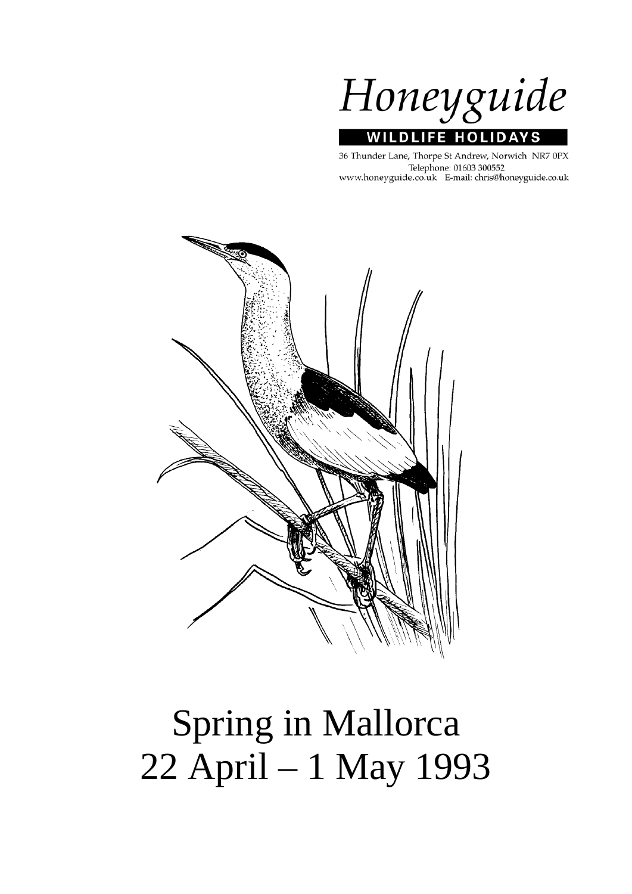

36 Thunder Lane, Thorpe St Andrew, Norwich NR7 0PX Telephone: 01603 300552 www.honeyguide.co.uk E-mail: chris@honeyguide.co.uk



# Spring in Mallorca 22 April – 1 May 1993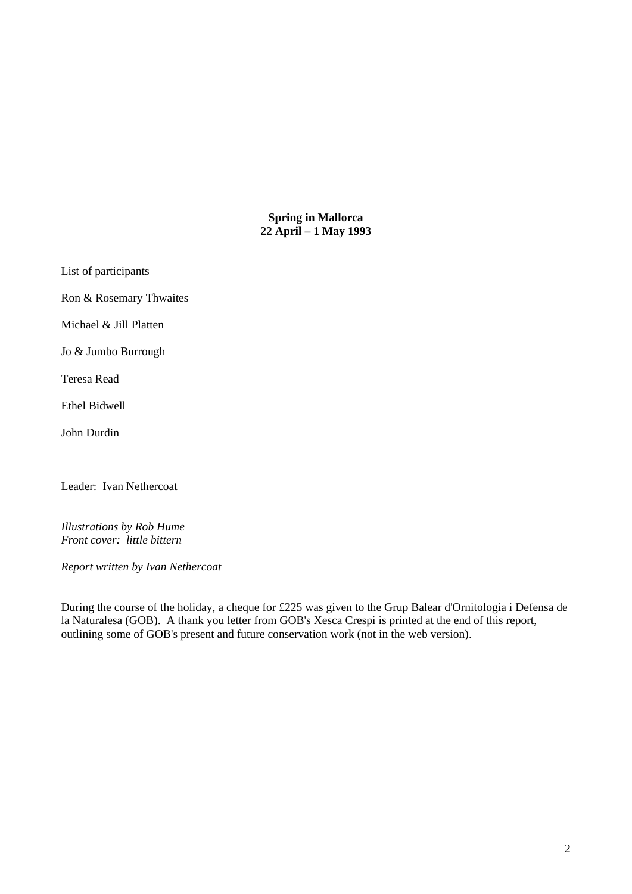**Spring in Mallorca 22 April – 1 May 1993** 

List of participants

Ron & Rosemary Thwaites

Michael & Jill Platten

Jo & Jumbo Burrough

Teresa Read

Ethel Bidwell

John Durdin

Leader: Ivan Nethercoat

*Illustrations by Rob Hume Front cover: little bittern* 

*Report written by Ivan Nethercoat* 

During the course of the holiday, a cheque for £225 was given to the Grup Balear d'Ornitologia i Defensa de la Naturalesa (GOB). A thank you letter from GOB's Xesca Crespi is printed at the end of this report, outlining some of GOB's present and future conservation work (not in the web version).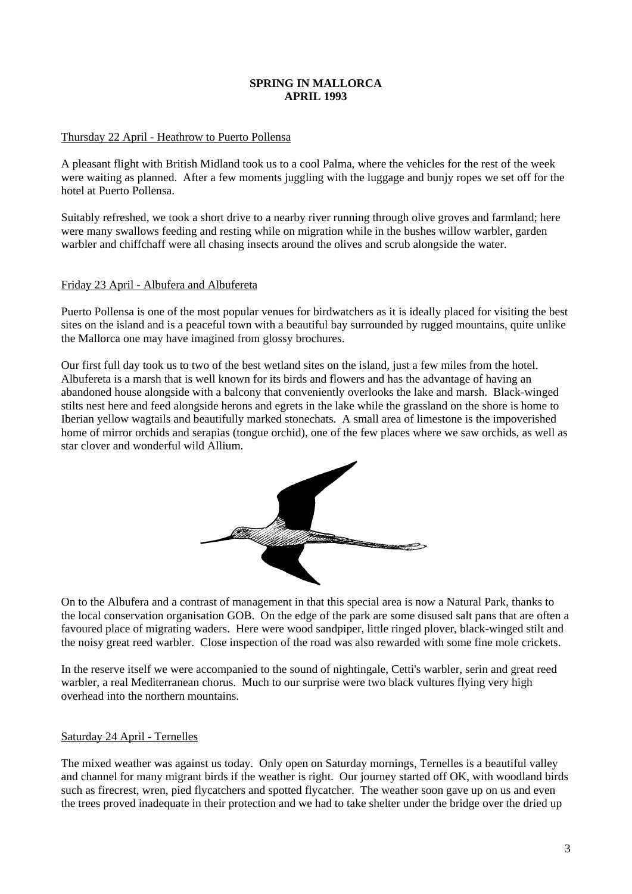# **SPRING IN MALLORCA APRIL 1993**

# Thursday 22 April - Heathrow to Puerto Pollensa

A pleasant flight with British Midland took us to a cool Palma, where the vehicles for the rest of the week were waiting as planned. After a few moments juggling with the luggage and bunjy ropes we set off for the hotel at Puerto Pollensa.

Suitably refreshed, we took a short drive to a nearby river running through olive groves and farmland; here were many swallows feeding and resting while on migration while in the bushes willow warbler, garden warbler and chiffchaff were all chasing insects around the olives and scrub alongside the water.

### Friday 23 April - Albufera and Albufereta

Puerto Pollensa is one of the most popular venues for birdwatchers as it is ideally placed for visiting the best sites on the island and is a peaceful town with a beautiful bay surrounded by rugged mountains, quite unlike the Mallorca one may have imagined from glossy brochures.

Our first full day took us to two of the best wetland sites on the island, just a few miles from the hotel. Albufereta is a marsh that is well known for its birds and flowers and has the advantage of having an abandoned house alongside with a balcony that conveniently overlooks the lake and marsh. Black-winged stilts nest here and feed alongside herons and egrets in the lake while the grassland on the shore is home to Iberian yellow wagtails and beautifully marked stonechats. A small area of limestone is the impoverished home of mirror orchids and serapias (tongue orchid), one of the few places where we saw orchids, as well as star clover and wonderful wild Allium.



On to the Albufera and a contrast of management in that this special area is now a Natural Park, thanks to the local conservation organisation GOB. On the edge of the park are some disused salt pans that are often a favoured place of migrating waders. Here were wood sandpiper, little ringed plover, black-winged stilt and the noisy great reed warbler. Close inspection of the road was also rewarded with some fine mole crickets.

In the reserve itself we were accompanied to the sound of nightingale, Cetti's warbler, serin and great reed warbler, a real Mediterranean chorus. Much to our surprise were two black vultures flying very high overhead into the northern mountains.

### Saturday 24 April - Ternelles

The mixed weather was against us today. Only open on Saturday mornings, Ternelles is a beautiful valley and channel for many migrant birds if the weather is right. Our journey started off OK, with woodland birds such as firecrest, wren, pied flycatchers and spotted flycatcher. The weather soon gave up on us and even the trees proved inadequate in their protection and we had to take shelter under the bridge over the dried up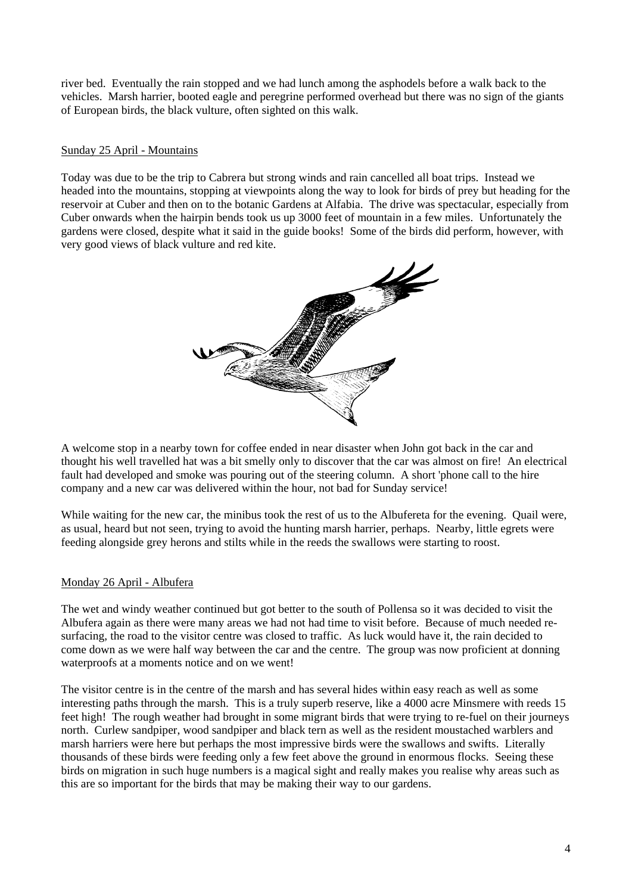river bed. Eventually the rain stopped and we had lunch among the asphodels before a walk back to the vehicles. Marsh harrier, booted eagle and peregrine performed overhead but there was no sign of the giants of European birds, the black vulture, often sighted on this walk.

## Sunday 25 April - Mountains

Today was due to be the trip to Cabrera but strong winds and rain cancelled all boat trips. Instead we headed into the mountains, stopping at viewpoints along the way to look for birds of prey but heading for the reservoir at Cuber and then on to the botanic Gardens at Alfabia. The drive was spectacular, especially from Cuber onwards when the hairpin bends took us up 3000 feet of mountain in a few miles. Unfortunately the gardens were closed, despite what it said in the guide books! Some of the birds did perform, however, with very good views of black vulture and red kite.



A welcome stop in a nearby town for coffee ended in near disaster when John got back in the car and thought his well travelled hat was a bit smelly only to discover that the car was almost on fire! An electrical fault had developed and smoke was pouring out of the steering column. A short 'phone call to the hire company and a new car was delivered within the hour, not bad for Sunday service!

While waiting for the new car, the minibus took the rest of us to the Albufereta for the evening. Quail were, as usual, heard but not seen, trying to avoid the hunting marsh harrier, perhaps. Nearby, little egrets were feeding alongside grey herons and stilts while in the reeds the swallows were starting to roost.

### Monday 26 April - Albufera

The wet and windy weather continued but got better to the south of Pollensa so it was decided to visit the Albufera again as there were many areas we had not had time to visit before. Because of much needed resurfacing, the road to the visitor centre was closed to traffic. As luck would have it, the rain decided to come down as we were half way between the car and the centre. The group was now proficient at donning waterproofs at a moments notice and on we went!

The visitor centre is in the centre of the marsh and has several hides within easy reach as well as some interesting paths through the marsh. This is a truly superb reserve, like a 4000 acre Minsmere with reeds 15 feet high! The rough weather had brought in some migrant birds that were trying to re-fuel on their journeys north. Curlew sandpiper, wood sandpiper and black tern as well as the resident moustached warblers and marsh harriers were here but perhaps the most impressive birds were the swallows and swifts. Literally thousands of these birds were feeding only a few feet above the ground in enormous flocks. Seeing these birds on migration in such huge numbers is a magical sight and really makes you realise why areas such as this are so important for the birds that may be making their way to our gardens.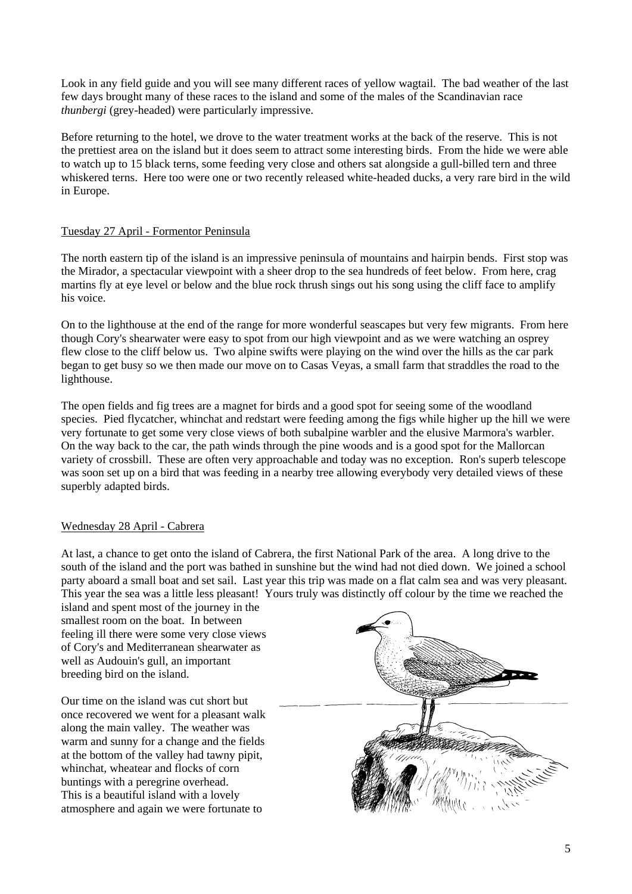Look in any field guide and you will see many different races of yellow wagtail. The bad weather of the last few days brought many of these races to the island and some of the males of the Scandinavian race *thunbergi* (grey-headed) were particularly impressive.

Before returning to the hotel, we drove to the water treatment works at the back of the reserve. This is not the prettiest area on the island but it does seem to attract some interesting birds. From the hide we were able to watch up to 15 black terns, some feeding very close and others sat alongside a gull-billed tern and three whiskered terns. Here too were one or two recently released white-headed ducks, a very rare bird in the wild in Europe.

### Tuesday 27 April - Formentor Peninsula

The north eastern tip of the island is an impressive peninsula of mountains and hairpin bends. First stop was the Mirador, a spectacular viewpoint with a sheer drop to the sea hundreds of feet below. From here, crag martins fly at eye level or below and the blue rock thrush sings out his song using the cliff face to amplify his voice.

On to the lighthouse at the end of the range for more wonderful seascapes but very few migrants. From here though Cory's shearwater were easy to spot from our high viewpoint and as we were watching an osprey flew close to the cliff below us. Two alpine swifts were playing on the wind over the hills as the car park began to get busy so we then made our move on to Casas Veyas, a small farm that straddles the road to the lighthouse.

The open fields and fig trees are a magnet for birds and a good spot for seeing some of the woodland species. Pied flycatcher, whinchat and redstart were feeding among the figs while higher up the hill we were very fortunate to get some very close views of both subalpine warbler and the elusive Marmora's warbler. On the way back to the car, the path winds through the pine woods and is a good spot for the Mallorcan variety of crossbill. These are often very approachable and today was no exception. Ron's superb telescope was soon set up on a bird that was feeding in a nearby tree allowing everybody very detailed views of these superbly adapted birds.

### Wednesday 28 April - Cabrera

At last, a chance to get onto the island of Cabrera, the first National Park of the area. A long drive to the south of the island and the port was bathed in sunshine but the wind had not died down. We joined a school party aboard a small boat and set sail. Last year this trip was made on a flat calm sea and was very pleasant. This year the sea was a little less pleasant! Yours truly was distinctly off colour by the time we reached the

island and spent most of the journey in the smallest room on the boat. In between feeling ill there were some very close views of Cory's and Mediterranean shearwater as well as Audouin's gull, an important breeding bird on the island.

Our time on the island was cut short but once recovered we went for a pleasant walk along the main valley. The weather was warm and sunny for a change and the fields at the bottom of the valley had tawny pipit, whinchat, wheatear and flocks of corn buntings with a peregrine overhead. This is a beautiful island with a lovely atmosphere and again we were fortunate to

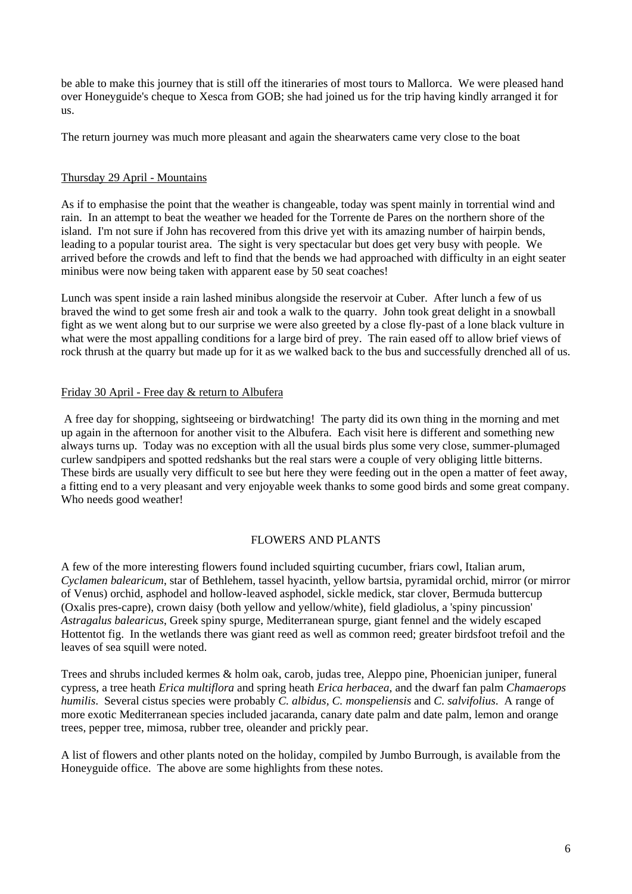be able to make this journey that is still off the itineraries of most tours to Mallorca. We were pleased hand over Honeyguide's cheque to Xesca from GOB; she had joined us for the trip having kindly arranged it for us.

The return journey was much more pleasant and again the shearwaters came very close to the boat

### Thursday 29 April - Mountains

As if to emphasise the point that the weather is changeable, today was spent mainly in torrential wind and rain. In an attempt to beat the weather we headed for the Torrente de Pares on the northern shore of the island. I'm not sure if John has recovered from this drive yet with its amazing number of hairpin bends, leading to a popular tourist area. The sight is very spectacular but does get very busy with people. We arrived before the crowds and left to find that the bends we had approached with difficulty in an eight seater minibus were now being taken with apparent ease by 50 seat coaches!

Lunch was spent inside a rain lashed minibus alongside the reservoir at Cuber. After lunch a few of us braved the wind to get some fresh air and took a walk to the quarry. John took great delight in a snowball fight as we went along but to our surprise we were also greeted by a close fly-past of a lone black vulture in what were the most appalling conditions for a large bird of prey. The rain eased off to allow brief views of rock thrush at the quarry but made up for it as we walked back to the bus and successfully drenched all of us.

#### Friday 30 April - Free day & return to Albufera

 A free day for shopping, sightseeing or birdwatching! The party did its own thing in the morning and met up again in the afternoon for another visit to the Albufera. Each visit here is different and something new always turns up. Today was no exception with all the usual birds plus some very close, summer-plumaged curlew sandpipers and spotted redshanks but the real stars were a couple of very obliging little bitterns. These birds are usually very difficult to see but here they were feeding out in the open a matter of feet away, a fitting end to a very pleasant and very enjoyable week thanks to some good birds and some great company. Who needs good weather!

### FLOWERS AND PLANTS

A few of the more interesting flowers found included squirting cucumber, friars cowl, Italian arum, *Cyclamen balearicum*, star of Bethlehem, tassel hyacinth, yellow bartsia, pyramidal orchid, mirror (or mirror of Venus) orchid, asphodel and hollow-leaved asphodel, sickle medick, star clover, Bermuda buttercup (Oxalis pres-capre), crown daisy (both yellow and yellow/white), field gladiolus, a 'spiny pincussion' *Astragalus balearicus*, Greek spiny spurge, Mediterranean spurge, giant fennel and the widely escaped Hottentot fig. In the wetlands there was giant reed as well as common reed; greater birdsfoot trefoil and the leaves of sea squill were noted.

Trees and shrubs included kermes & holm oak, carob, judas tree, Aleppo pine, Phoenician juniper, funeral cypress, a tree heath *Erica multiflora* and spring heath *Erica herbacea*, and the dwarf fan palm *Chamaerops humilis*. Several cistus species were probably *C. albidus, C. monspeliensis* and *C. salvifolius*. A range of more exotic Mediterranean species included jacaranda, canary date palm and date palm, lemon and orange trees, pepper tree, mimosa, rubber tree, oleander and prickly pear.

A list of flowers and other plants noted on the holiday, compiled by Jumbo Burrough, is available from the Honeyguide office. The above are some highlights from these notes.